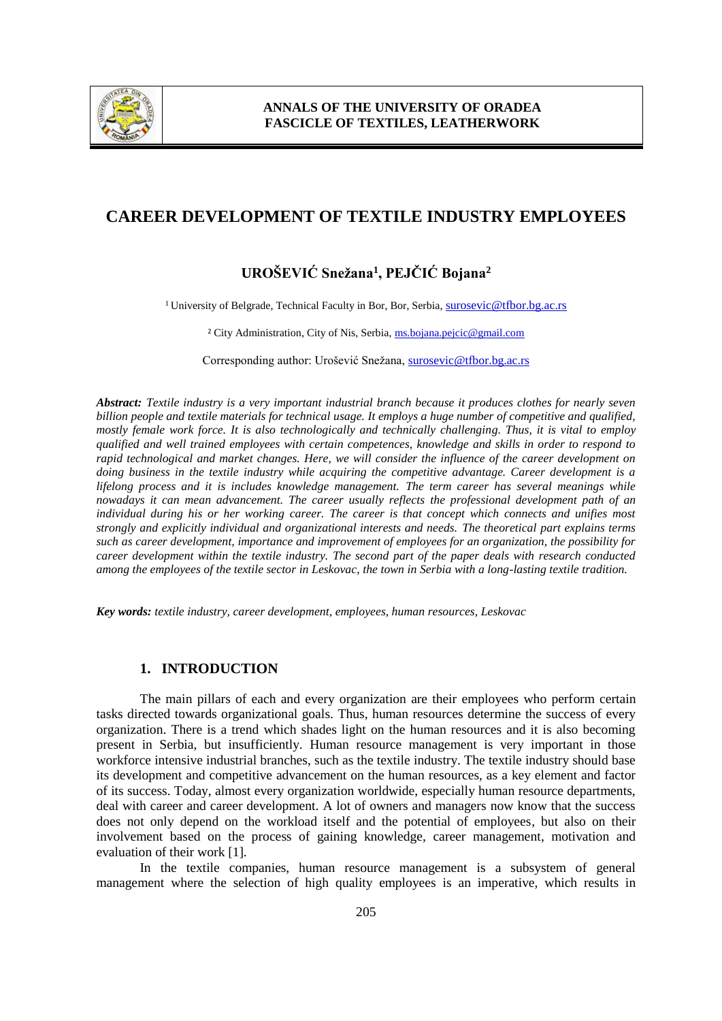

# **CAREER DEVELOPMENT OF TEXTILE INDUSTRY EMPLOYEES**

# **UROŠEVIĆ Snežana<sup>1</sup> , PEJČIĆ Bojana<sup>2</sup>**

<sup>1</sup> University of Belgrade, Technical Faculty in Bor, Bor, Serbia, surosevic @tfbor.bg.ac.rs

<sup>2</sup> City Administration, City of Nis, Serbia, [ms.bojana.pejcic@gmail.com](mailto:ms.bojana.pejcic@gmail.com)

Corresponding author: Urošević Snežana, [surosevic@tfbor.bg.ac.rs](mailto:surosevic@tfbor.bg.ac.rs)

*Abstract: Textile industry is a very important industrial branch because it produces clothes for nearly seven billion people and textile materials for technical usage. It employs a huge number of competitive and qualified, mostly female work force. It is also technologically and technically challenging. Thus, it is vital to employ qualified and well trained employees with certain competences, knowledge and skills in order to respond to rapid technological and market changes. Here, we will consider the influence of the career development on doing business in the textile industry while acquiring the competitive advantage. Career development is a lifelong process and it is includes knowledge management. The term career has several meanings while nowadays it can mean advancement. The career usually reflects the professional development path of an individual during his or her working career. The career is that concept which connects and unifies most strongly and explicitly individual and organizational interests and needs. The theoretical part explains terms such as career development, importance and improvement of employees for an organization, the possibility for career development within the textile industry. The second part of the paper deals with research conducted among the employees of the textile sector in Leskovac, the town in Serbia with a long-lasting textile tradition.* 

*Key words: textile industry, career development, employees, human resources, Leskovac*

#### **1. INTRODUCTION**

The main pillars of each and every organization are their employees who perform certain tasks directed towards organizational goals. Thus, human resources determine the success of every organization. There is a trend which shades light on the human resources and it is also becoming present in Serbia, but insufficiently. Human resource management is very important in those workforce intensive industrial branches, such as the textile industry. The textile industry should base its development and competitive advancement on the human resources, as a key element and factor of its success. Today, almost every organization worldwide, especially human resource departments, deal with career and career development. A lot of owners and managers now know that the success does not only depend on the workload itself and the potential of employees, but also on their involvement based on the process of gaining knowledge, career management, motivation and evaluation of their work [1].

In the textile companies, human resource management is a subsystem of general management where the selection of high quality employees is an imperative, which results in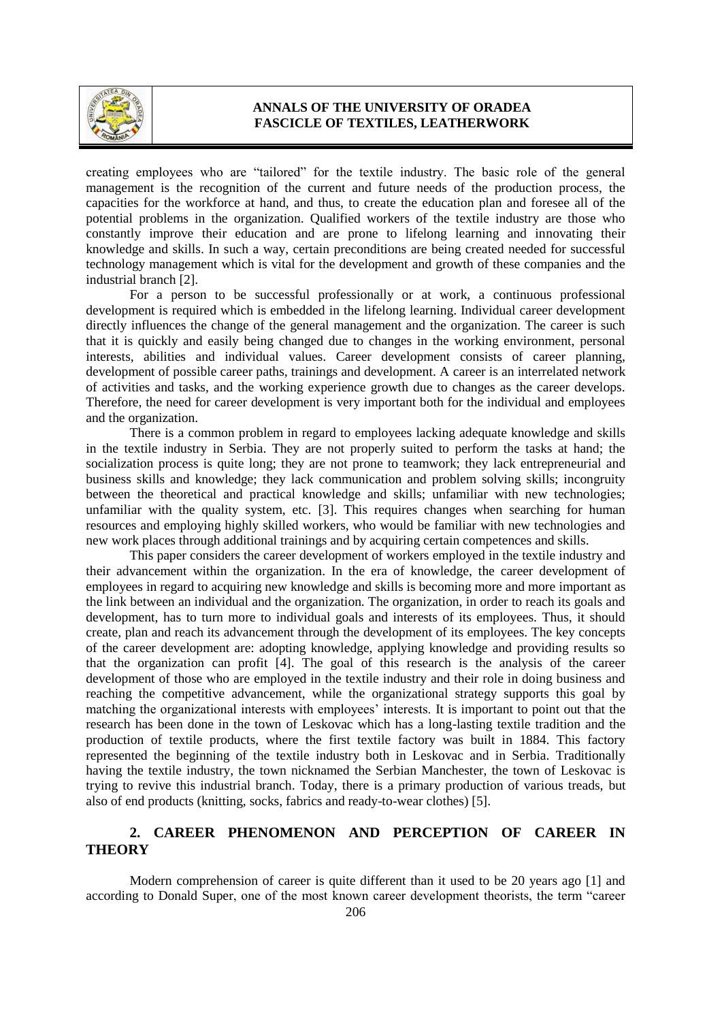

creating employees who are "tailored" for the textile industry. The basic role of the general management is the recognition of the current and future needs of the production process, the capacities for the workforce at hand, and thus, to create the education plan and foresee all of the potential problems in the organization. Qualified workers of the textile industry are those who constantly improve their education and are prone to lifelong learning and innovating their knowledge and skills. In such a way, certain preconditions are being created needed for successful technology management which is vital for the development and growth of these companies and the industrial branch [2].

For a person to be successful professionally or at work, a continuous professional development is required which is embedded in the lifelong learning. Individual career development directly influences the change of the general management and the organization. The career is such that it is quickly and easily being changed due to changes in the working environment, personal interests, abilities and individual values. Career development consists of career planning, development of possible career paths, trainings and development. A career is an interrelated network of activities and tasks, and the working experience growth due to changes as the career develops. Therefore, the need for career development is very important both for the individual and employees and the organization.

There is a common problem in regard to employees lacking adequate knowledge and skills in the textile industry in Serbia. They are not properly suited to perform the tasks at hand; the socialization process is quite long; they are not prone to teamwork; they lack entrepreneurial and business skills and knowledge; they lack communication and problem solving skills; incongruity between the theoretical and practical knowledge and skills; unfamiliar with new technologies; unfamiliar with the quality system, etc. [3]. This requires changes when searching for human resources and employing highly skilled workers, who would be familiar with new technologies and new work places through additional trainings and by acquiring certain competences and skills.

This paper considers the career development of workers employed in the textile industry and their advancement within the organization. In the era of knowledge, the career development of employees in regard to acquiring new knowledge and skills is becoming more and more important as the link between an individual and the organization. The organization, in order to reach its goals and development, has to turn more to individual goals and interests of its employees. Thus, it should create, plan and reach its advancement through the development of its employees. The key concepts of the career development are: adopting knowledge, applying knowledge and providing results so that the organization can profit [4]. The goal of this research is the analysis of the career development of those who are employed in the textile industry and their role in doing business and reaching the competitive advancement, while the organizational strategy supports this goal by matching the organizational interests with employees' interests. It is important to point out that the research has been done in the town of Leskovac which has a long-lasting textile tradition and the production of textile products, where the first textile factory was built in 1884. This factory represented the beginning of the textile industry both in Leskovac and in Serbia. Traditionally having the textile industry, the town nicknamed the Serbian Manchester, the town of Leskovac is trying to revive this industrial branch. Today, there is a primary production of various treads, but also of end products (knitting, socks, fabrics and ready-to-wear clothes) [5].

# **2. CAREER PHENOMENON AND PERCEPTION OF CAREER IN THEORY**

Modern comprehension of career is quite different than it used to be 20 years ago [1] and according to Donald Super, one of the most known career development theorists, the term "career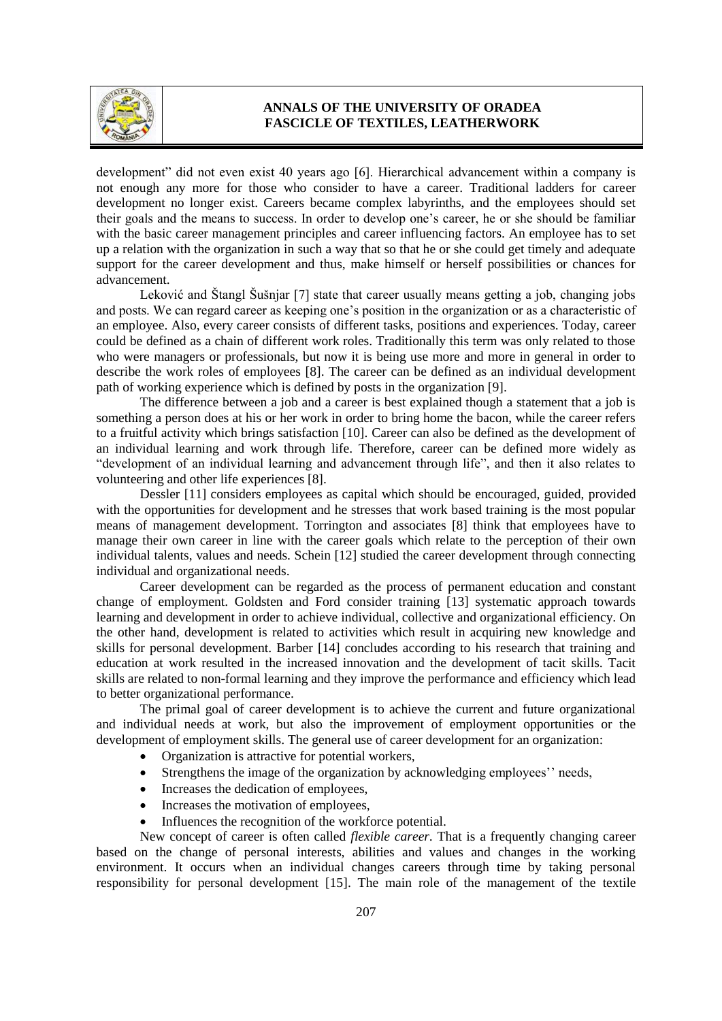

development" did not even exist 40 years ago [6]. Hierarchical advancement within a company is not enough any more for those who consider to have a career. Traditional ladders for career development no longer exist. Careers became complex labyrinths, and the employees should set their goals and the means to success. In order to develop one's career, he or she should be familiar with the basic career management principles and career influencing factors. An employee has to set up a relation with the organization in such a way that so that he or she could get timely and adequate support for the career development and thus, make himself or herself possibilities or chances for advancement.

Leković and Štangl Šušnjar [7] state that career usually means getting a job, changing jobs and posts. We can regard career as keeping one's position in the organization or as a characteristic of an employee. Also, every career consists of different tasks, positions and experiences. Today, career could be defined as a chain of different work roles. Traditionally this term was only related to those who were managers or professionals, but now it is being use more and more in general in order to describe the work roles of employees [8]. The career can be defined as an individual development path of working experience which is defined by posts in the organization [9].

The difference between a job and a career is best explained though a statement that a job is something a person does at his or her work in order to bring home the bacon, while the career refers to a fruitful activity which brings satisfaction [10]. Career can also be defined as the development of an individual learning and work through life. Therefore, career can be defined more widely as "development of an individual learning and advancement through life", and then it also relates to volunteering and other life experiences [8].

Dessler [11] considers employees as capital which should be encouraged, guided, provided with the opportunities for development and he stresses that work based training is the most popular means of management development. Torrington and associates [8] think that employees have to manage their own career in line with the career goals which relate to the perception of their own individual talents, values and needs. Schein [12] studied the career development through connecting individual and organizational needs.

Career development can be regarded as the process of permanent education and constant change of employment. Goldsten and Ford consider training [13] systematic approach towards learning and development in order to achieve individual, collective and organizational efficiency. On the other hand, development is related to activities which result in acquiring new knowledge and skills for personal development. Barber [14] concludes according to his research that training and education at work resulted in the increased innovation and the development of tacit skills. Tacit skills are related to non-formal learning and they improve the performance and efficiency which lead to better organizational performance.

The primal goal of career development is to achieve the current and future organizational and individual needs at work, but also the improvement of employment opportunities or the development of employment skills. The general use of career development for an organization:

- Organization is attractive for potential workers,
- Strengthens the image of the organization by acknowledging employees'' needs,
- Increases the dedication of employees,
- Increases the motivation of employees,
- Influences the recognition of the workforce potential.

New concept of career is often called *flexible career*. That is a frequently changing career based on the change of personal interests, abilities and values and changes in the working environment. It occurs when an individual changes careers through time by taking personal responsibility for personal development [15]. The main role of the management of the textile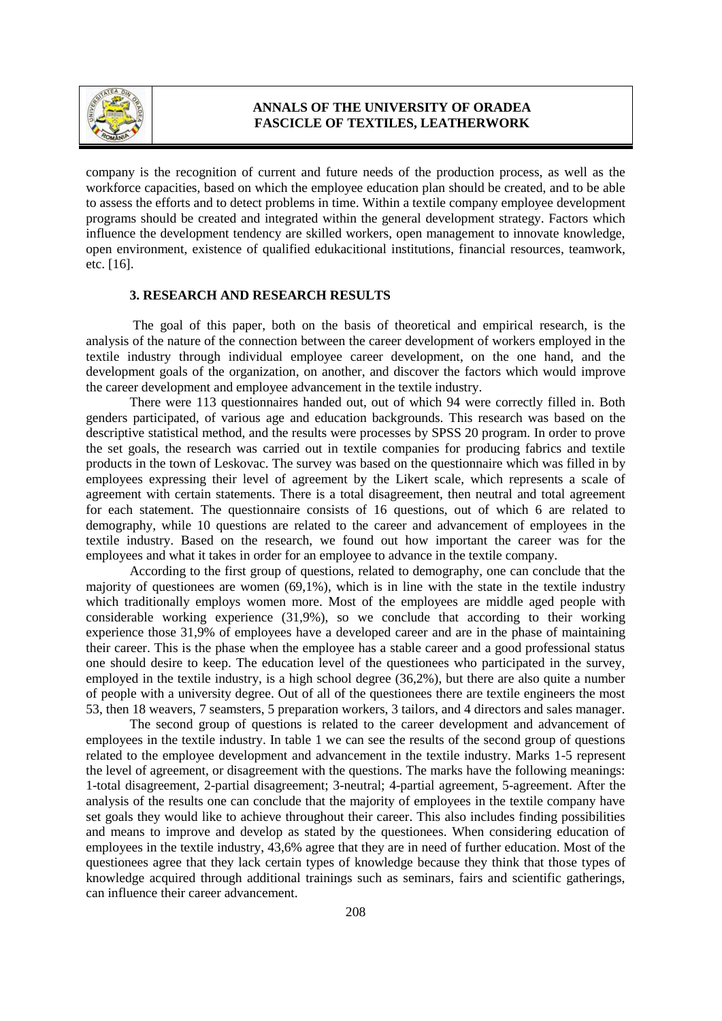

company is the recognition of current and future needs of the production process, as well as the workforce capacities, based on which the employee education plan should be created, and to be able to assess the efforts and to detect problems in time. Within a textile company employee development programs should be created and integrated within the general development strategy. Factors which influence the development tendency are skilled workers, open management to innovate knowledge, open environment, existence of qualified edukacitional institutions, financial resources, teamwork, etc. [16].

#### **3. RESEARCH AND RESEARCH RESULTS**

The goal of this paper, both on the basis of theoretical and empirical research, is the analysis of the nature of the connection between the career development of workers employed in the textile industry through individual employee career development, on the one hand, and the development goals of the organization, on another, and discover the factors which would improve the career development and employee advancement in the textile industry.

There were 113 questionnaires handed out, out of which 94 were correctly filled in. Both genders participated, of various age and education backgrounds. This research was based on the descriptive statistical method, and the results were processes by SPSS 20 program. In order to prove the set goals, the research was carried out in textile companies for producing fabrics and textile products in the town of Leskovac. The survey was based on the questionnaire which was filled in by employees expressing their level of agreement by the Likert scale, which represents a scale of agreement with certain statements. There is a total disagreement, then neutral and total agreement for each statement. The questionnaire consists of 16 questions, out of which 6 are related to demography, while 10 questions are related to the career and advancement of employees in the textile industry. Based on the research, we found out how important the career was for the employees and what it takes in order for an employee to advance in the textile company.

According to the first group of questions, related to demography, one can conclude that the majority of questionees are women (69,1%), which is in line with the state in the textile industry which traditionally employs women more. Most of the employees are middle aged people with considerable working experience (31,9%), so we conclude that according to their working experience those 31,9% of employees have a developed career and are in the phase of maintaining their career. This is the phase when the employee has a stable career and a good professional status one should desire to keep. The education level of the questionees who participated in the survey, employed in the textile industry, is a high school degree (36,2%), but there are also quite a number of people with a university degree. Out of all of the questionees there are textile engineers the most 53, then 18 weavers, 7 seamsters, 5 preparation workers, 3 tailors, and 4 directors and sales manager.

The second group of questions is related to the career development and advancement of employees in the textile industry. In table 1 we can see the results of the second group of questions related to the employee development and advancement in the textile industry. Marks 1-5 represent the level of agreement, or disagreement with the questions. The marks have the following meanings: 1-total disagreement, 2-partial disagreement; 3-neutral; 4-partial agreement, 5-agreement. After the analysis of the results one can conclude that the majority of employees in the textile company have set goals they would like to achieve throughout their career. This also includes finding possibilities and means to improve and develop as stated by the questionees. When considering education of employees in the textile industry, 43,6% agree that they are in need of further education. Most of the questionees agree that they lack certain types of knowledge because they think that those types of knowledge acquired through additional trainings such as seminars, fairs and scientific gatherings, can influence their career advancement.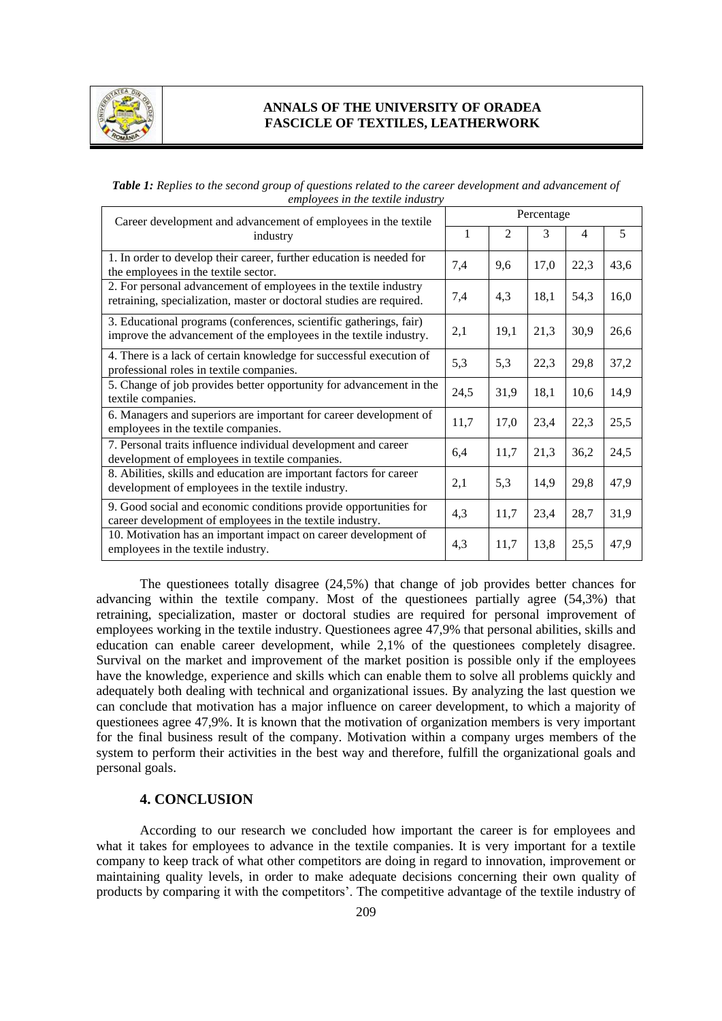

*Table 1: Replies to the second group of questions related to the career development and advancement of employees in the textile industry*

| Career development and advancement of employees in the textile<br>industry                                                               | Percentage |      |      |      |      |
|------------------------------------------------------------------------------------------------------------------------------------------|------------|------|------|------|------|
|                                                                                                                                          | 1          | 2    | 3    | 4    | 5    |
| 1. In order to develop their career, further education is needed for<br>the employees in the textile sector.                             | 7,4        | 9,6  | 17,0 | 22,3 | 43,6 |
| 2. For personal advancement of employees in the textile industry<br>retraining, specialization, master or doctoral studies are required. | 7,4        | 4,3  | 18,1 | 54,3 | 16,0 |
| 3. Educational programs (conferences, scientific gatherings, fair)<br>improve the advancement of the employees in the textile industry.  | 2,1        | 19,1 | 21,3 | 30,9 | 26,6 |
| 4. There is a lack of certain knowledge for successful execution of<br>professional roles in textile companies.                          | 5,3        | 5,3  | 22,3 | 29,8 | 37,2 |
| 5. Change of job provides better opportunity for advancement in the<br>textile companies.                                                | 24,5       | 31,9 | 18,1 | 10.6 | 14,9 |
| 6. Managers and superiors are important for career development of<br>employees in the textile companies.                                 | 11,7       | 17,0 | 23,4 | 22,3 | 25,5 |
| 7. Personal traits influence individual development and career<br>development of employees in textile companies.                         | 6,4        | 11,7 | 21,3 | 36,2 | 24,5 |
| 8. Abilities, skills and education are important factors for career<br>development of employees in the textile industry.                 | 2,1        | 5,3  | 14,9 | 29,8 | 47,9 |
| 9. Good social and economic conditions provide opportunities for<br>career development of employees in the textile industry.             | 4,3        | 11,7 | 23,4 | 28,7 | 31,9 |
| 10. Motivation has an important impact on career development of<br>employees in the textile industry.                                    | 4,3        | 11,7 | 13,8 | 25,5 | 47,9 |

The questionees totally disagree (24,5%) that change of job provides better chances for advancing within the textile company. Most of the questionees partially agree (54,3%) that retraining, specialization, master or doctoral studies are required for personal improvement of employees working in the textile industry. Questionees agree 47,9% that personal abilities, skills and education can enable career development, while 2,1% of the questionees completely disagree. Survival on the market and improvement of the market position is possible only if the employees have the knowledge, experience and skills which can enable them to solve all problems quickly and adequately both dealing with technical and organizational issues. By analyzing the last question we can conclude that motivation has a major influence on career development, to which a majority of questionees agree 47,9%. It is known that the motivation of organization members is very important for the final business result of the company. Motivation within a company urges members of the system to perform their activities in the best way and therefore, fulfill the organizational goals and personal goals.

#### **4. CONCLUSION**

According to our research we concluded how important the career is for employees and what it takes for employees to advance in the textile companies. It is very important for a textile company to keep track of what other competitors are doing in regard to innovation, improvement or maintaining quality levels, in order to make adequate decisions concerning their own quality of products by comparing it with the competitors'. The competitive advantage of the textile industry of